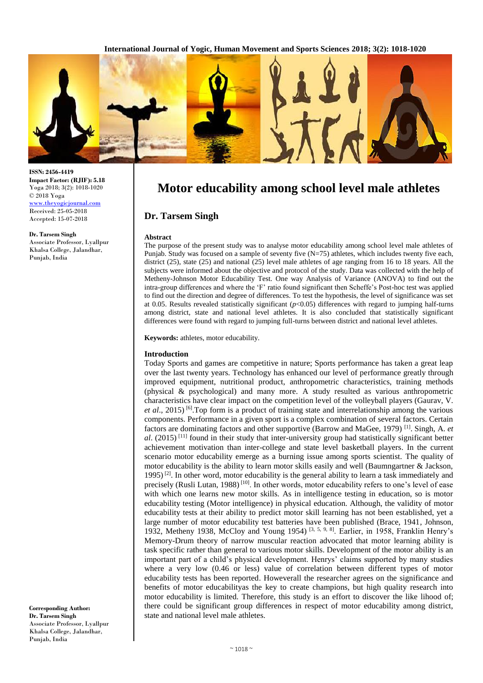

#### **ISSN: 2456-4419 Impact Factor: (RJIF): 5.18** Yoga 2018; 3(2): 1018-1020 © 2018 Yoga <www.theyogicjournal.com> Received: 25-05-2018 Accepted: 15-07-2018

**Dr. Tarsem Singh**

Associate Professor, Lyallpur Khalsa College, Jalandhar, Punjab, India

**Corresponding Author: Dr. Tarsem Singh** Associate Professor, Lyallpur Khalsa College, Jalandhar, Punjab, India

# **Motor educability among school level male athletes**

# **Dr. Tarsem Singh**

## **Abstract**

The purpose of the present study was to analyse motor educability among school level male athletes of Punjab. Study was focused on a sample of seventy five (N=75) athletes, which includes twenty five each, district (25), state (25) and national (25) level male athletes of age ranging from 16 to 18 years. All the subjects were informed about the objective and protocol of the study. Data was collected with the help of Metheny-Johnson Motor Educability Test. One way Analysis of Variance (ANOVA) to find out the intra-group differences and where the 'F' ratio found significant then Scheffe's Post-hoc test was applied to find out the direction and degree of differences. To test the hypothesis, the level of significance was set at 0.05. Results revealed statistically significant (*p*<0.05) differences with regard to jumping half-turns among district, state and national level athletes. It is also concluded that statistically significant differences were found with regard to jumping full-turns between district and national level athletes.

**Keywords:** athletes, motor educability.

## **Introduction**

Today Sports and games are competitive in nature; Sports performance has taken a great leap over the last twenty years. Technology has enhanced our level of performance greatly through improved equipment, nutritional product, anthropometric characteristics, training methods (physical & psychological) and many more. A study resulted as various anthropometric characteristics have clear impact on the competition level of the volleyball players (Gaurav, V. et al., 2015)<sup>[6]</sup>. Top form is a product of training state and interrelationship among the various components. Performance in a given sport is a complex combination of several factors. Certain factors are dominating factors and other supportive (Barrow and MaGee, 1979) [1] . Singh, A. *et*  al. (2015)<sup>[11]</sup> found in their study that inter-university group had statistically significant better achievement motivation than inter-college and state level basketball players. In the current scenario motor educability emerge as a burning issue among sports scientist. The quality of motor educability is the ability to learn motor skills easily and well (Baumngartner  $\&$  Jackson, 1995)<sup>[2]</sup>. In other word, motor educability is the general ability to learn a task immediately and precisely (Rusli Lutan, 1988)<sup>[10]</sup>. In other words, motor educability refers to one's level of ease with which one learns new motor skills. As in intelligence testing in education, so is motor educability testing (Motor intelligence) in physical education. Although, the validity of motor educability tests at their ability to predict motor skill learning has not been established, yet a large number of motor educability test batteries have been published (Brace, 1941, Johnson, 1932, Metheny 1938, McCloy and Young 1954)<sup>[3, 5, 9, 8]</sup>. Earlier, in 1958, Franklin Henry's Memory-Drum theory of narrow muscular reaction advocated that motor learning ability is task specific rather than general to various motor skills. Development of the motor ability is an important part of a child's physical development. Henrys' claims supported by many studies where a very low (0.46 or less) value of correlation between different types of motor educability tests has been reported. Howeverall the researcher agrees on the significance and benefits of motor educabilityas the key to create champions, but high quality research into motor educability is limited. Therefore, this study is an effort to discover the like lihood of; there could be significant group differences in respect of motor educability among district, state and national level male athletes.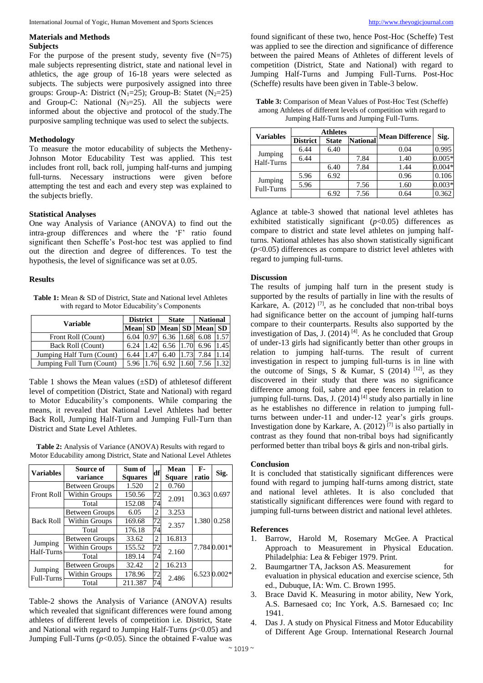## **Materials and Methods Subjects**

For the purpose of the present study, seventy five  $(N=75)$ male subjects representing district, state and national level in athletics, the age group of 16-18 years were selected as subjects. The subjects were purposively assigned into three groups: Group-A: District (N<sub>1</sub>=25); Group-B: Statet (N<sub>2</sub>=25) and Group-C: National  $(N<sub>3</sub>=25)$ . All the subjects were informed about the objective and protocol of the study.The purposive sampling technique was used to select the subjects.

# **Methodology**

To measure the motor educability of subjects the Metheny-Johnson Motor Educability Test was applied. This test includes front roll, back roll, jumping half-turns and jumping full-turns. Necessary instructions were given before attempting the test and each and every step was explained to the subjects briefly.

## **Statistical Analyses**

One way Analysis of Variance (ANOVA) to find out the intra-group differences and where the 'F' ratio found significant then Scheffe's Post-hoc test was applied to find out the direction and degree of differences. To test the hypothesis, the level of significance was set at 0.05.

## **Results**

**Table 1:** Mean & SD of District, State and National level Athletes with regard to Motor Educability's Components

|                           | <b>District</b> |      | <b>State</b> |      | <b>National</b>         |      |
|---------------------------|-----------------|------|--------------|------|-------------------------|------|
| Variable                  |                 |      |              |      | Mean SD Mean SD Mean SD |      |
| Front Roll (Count)        | 6.04            | 0.97 | 6.36         | 1.68 | 6.08                    | 1.57 |
| Back Roll (Count)         | 6.24            | 1.42 | 6.56 1.70    |      | 6.96                    | 1.45 |
| Jumping Half Turn (Count) | 6.44            | 1.47 | 6.40         |      | 7.84                    | .14  |
| Jumping Full Turn (Count) | 5.96            | 1.76 | 6.92         |      | 7.56                    |      |

Table 1 shows the Mean values  $(\pm SD)$  of athletes different level of competition (District, State and National) with regard to Motor Educability's components. While comparing the means, it revealed that National Level Athletes had better Back Roll, Jumping Half-Turn and Jumping Full-Turn than District and State Level Athletes.

**Table 2:** Analysis of Variance (ANOVA) Results with regard to Motor Educability among District, State and National Level Athletes

| <b>Variables</b>      | Source of<br>variance               | Sum of<br><b>Squares</b> | df             | Mean<br><b>Square</b> | F-<br>ratio | Sig.         |
|-----------------------|-------------------------------------|--------------------------|----------------|-----------------------|-------------|--------------|
| <b>Front Roll</b>     | <b>Between Groups</b>               | 1.520                    | 2              | 0.760                 |             |              |
|                       | Within Groups                       | 150.56                   | 72             | 2.091                 | 0.363       | 0.697        |
|                       | Total                               | 152.08                   | 74             |                       |             |              |
| <b>Back Roll</b>      | <b>Between Groups</b>               | 6.05                     | $\overline{c}$ | 3.253                 | 1.380       | 0.258        |
|                       | Within Groups                       | 169.68                   | 72             | 2.357                 |             |              |
|                       | Total                               | 176.18                   | 74             |                       |             |              |
| Jumping<br>Half-Turns | 2<br>33.62<br><b>Between Groups</b> |                          | 16.813         |                       |             |              |
|                       | Within Groups                       | 155.52                   | 72             | 2.160                 |             | 7.784 0.001* |
|                       | Total                               | 189.14                   | 74             |                       |             |              |
| Jumping<br>Full-Turns | <b>Between Groups</b>               | 32.42                    | 2              | 16.213                |             |              |
|                       | Within Groups                       | 178.96                   | 72             | 2.486                 |             | 6.5230.002*  |
|                       | Total                               | 211.387                  | 74             |                       |             |              |

Table-2 shows the Analysis of Variance (ANOVA) results which revealed that significant differences were found among athletes of different levels of competition i.e. District, State and National with regard to Jumping Half-Turns (*p*<0.05) and Jumping Full-Turns  $(p<0.05)$ . Since the obtained F-value was

found significant of these two, hence Post-Hoc (Scheffe) Test was applied to see the direction and significance of difference between the paired Means of Athletes of different levels of competition (District, State and National) with regard to Jumping Half-Turns and Jumping Full-Turns. Post-Hoc (Scheffe) results have been given in Table-3 below.

| <b>Table 3:</b> Comparison of Mean Values of Post-Hoc Test (Scheffe) |
|----------------------------------------------------------------------|
| among Athletes of different levels of competition with regard to     |
| Jumping Half-Turns and Jumping Full-Turns.                           |

| <b>Variables</b>      | <b>Athletes</b> |              |                 | <b>Mean Difference</b> |          |  |
|-----------------------|-----------------|--------------|-----------------|------------------------|----------|--|
|                       | <b>District</b> | <b>State</b> | <b>National</b> |                        | Sig.     |  |
| Jumping<br>Half-Turns | 6.44            | 6.40         |                 | 0.04                   | 0.995    |  |
|                       | 6.44            |              | 7.84            | 1.40                   | $0.005*$ |  |
|                       |                 | 6.40         | 7.84            | 1.44                   | $0.004*$ |  |
| Jumping<br>Full-Turns | 5.96            | 6.92         |                 | 0.96                   | 0.106    |  |
|                       | 5.96            |              | 7.56            | 1.60                   | $0.003*$ |  |
|                       |                 | 6.92         | 7.56            | 0.64                   | 0.362    |  |

Aglance at table-3 showed that national level athletes has exhibited statistically significant (*p*<0.05) differences as compare to district and state level athletes on jumping halfturns. National athletes has also shown statistically significant (*p*<0.05) differences as compare to district level athletes with regard to jumping full-turns.

## **Discussion**

The results of jumping half turn in the present study is supported by the results of partially in line with the results of Karkare, A.  $(2012)$ <sup>[7]</sup>, as he concluded that non-tribal boys had significance better on the account of jumping half-turns compare to their counterparts. Results also supported by the investigation of Das, J.  $(2014)$ <sup>[4]</sup>. As he concluded that Group of under-13 girls had significantly better than other groups in relation to jumping half-turns. The result of current investigation in respect to jumping full-turns is in line with the outcome of Sings, S & Kumar, S  $(2014)$  <sup>[12]</sup>, as they discovered in their study that there was no significance difference among foil, sabre and epee fencers in relation to jumping full-turns. Das, J. (2014)<sup>[4]</sup> study also partially in line as he establishes no difference in relation to jumping fullturns between under-11 and under-12 year's girls groups. Investigation done by Karkare, A. (2012) [7] is also partially in contrast as they found that non-tribal boys had significantly performed better than tribal boys & girls and non-tribal girls.

### **Conclusion**

It is concluded that statistically significant differences were found with regard to jumping half-turns among district, state and national level athletes. It is also concluded that statistically significant differences were found with regard to jumping full-turns between district and national level athletes.

### **References**

- 1. Barrow, Harold M, Rosemary McGee. A Practical Approach to Measurement in Physical Education. Philadelphia: Lea & Febiger 1979. Print.
- 2. Baumgartner TA, Jackson AS. Measurement for evaluation in physical education and exercise science, 5th ed., Dubuque, IA: Wm. C. Brown 1995.
- 3. Brace David K. Measuring in motor ability, New York, A.S. Barnesaed co; Inc York, A.S. Barnesaed co; Inc 1941.
- 4. Das J. A study on Physical Fitness and Motor Educability of Different Age Group. International Research Journal